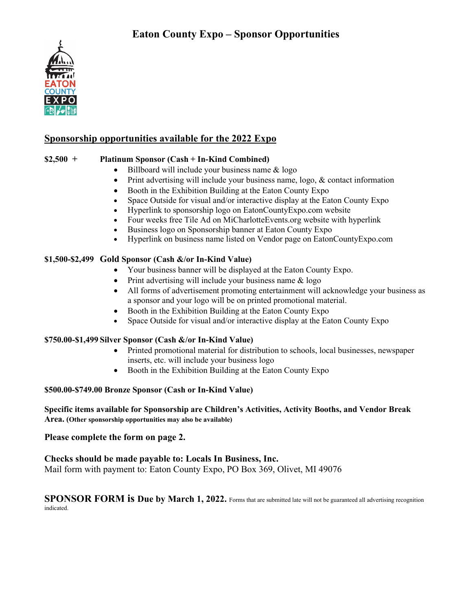

### **Sponsorship opportunities available for the 2022 Expo**

### **\$2,500 + Platinum Sponsor (Cash + In-Kind Combined)**

- Billboard will include your business name & logo
- Print advertising will include your business name, logo, & contact information
- Booth in the Exhibition Building at the Eaton County Expo
- Space Outside for visual and/or interactive display at the Eaton County Expo
- Hyperlink to sponsorship logo on EatonCountyExpo.com website
- Four weeks free Tile Ad on MiCharlotteEvents.org website with hyperlink
- Business logo on Sponsorship banner at Eaton County Expo
- Hyperlink on business name listed on Vendor page on EatonCountyExpo.com

#### **\$1,500-\$2,499 Gold Sponsor (Cash &/or In-Kind Value)**

- Your business banner will be displayed at the Eaton County Expo.
- Print advertising will include your business name & logo
- All forms of advertisement promoting entertainment will acknowledge your business as a sponsor and your logo will be on printed promotional material.
- Booth in the Exhibition Building at the Eaton County Expo
- Space Outside for visual and/or interactive display at the Eaton County Expo

#### **\$750.00-\$1,499 Silver Sponsor (Cash &/or In-Kind Value)**

- Printed promotional material for distribution to schools, local businesses, newspaper inserts, etc. will include your business logo
- Booth in the Exhibition Building at the Eaton County Expo

#### **\$500.00-\$749.00 Bronze Sponsor (Cash or In-Kind Value)**

#### **Specific items available for Sponsorship are Children's Activities, Activity Booths, and Vendor Break Area. (Other sponsorship opportunities may also be available)**

#### **Please complete the form on page 2.**

**Checks should be made payable to: Locals In Business, Inc.** Mail form with payment to: Eaton County Expo, PO Box 369, Olivet, MI 49076

**SPONSOR FORM is Due by March 1, 2022.** Forms that are submitted late will not be guaranteed all advertising recognition indicated.